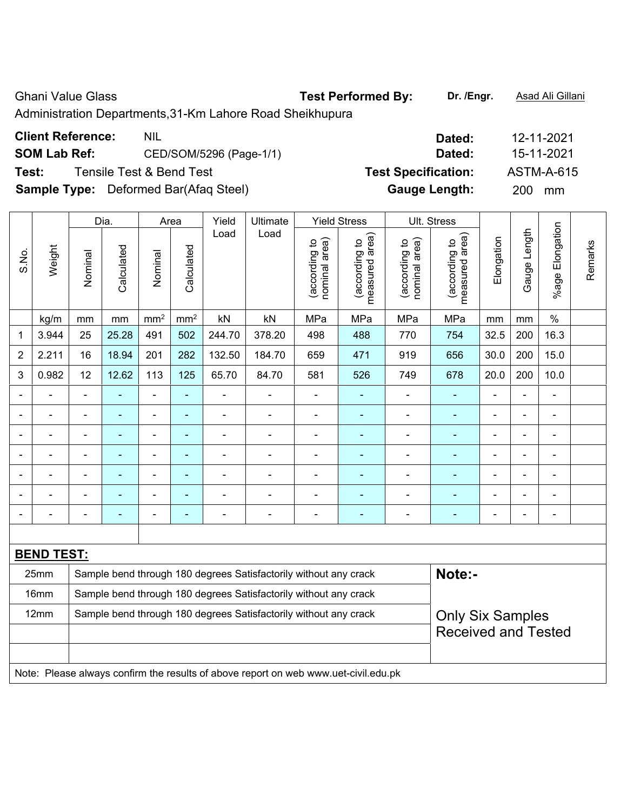| <b>Ghani Value Glass</b>                                                                                                            | <b>Test Performed By:</b> | Dr. /Enar. | Asad Ali Gillani |
|-------------------------------------------------------------------------------------------------------------------------------------|---------------------------|------------|------------------|
| Administration Departments, 31-Km Lahore Road Sheikhupura                                                                           |                           |            |                  |
| $\bigcap_{i=1}^{n}$ and $\bigcap_{i=1}^{n}$ $\bigcap_{i=1}^{n}$ and $\bigcap_{i=1}^{n}$ $\bigcap_{i=1}^{n}$ and $\bigcap_{i=1}^{n}$ |                           |            | .                |

| <b>Client Reference:</b> | <b>NIL</b>                                   | Dated:                     | 12-11-2021       |
|--------------------------|----------------------------------------------|----------------------------|------------------|
| <b>SOM Lab Ref:</b>      | CED/SOM/5296 (Page-1/1)                      | Dated:                     | 15-11-2021       |
| Test:                    | Tensile Test & Bend Test                     | <b>Test Specification:</b> | ASTM-A-615       |
|                          | <b>Sample Type:</b> Deformed Bar(Afaq Steel) | <b>Gauge Length:</b>       | <b>200</b><br>mm |

|                |                   |                                                                                             | Dia.           |                 | Area            | Yield          | Ultimate                                                                            |                                | <b>Yield Stress</b>             |                                | Ult. Stress                     |                |                |                 |         |
|----------------|-------------------|---------------------------------------------------------------------------------------------|----------------|-----------------|-----------------|----------------|-------------------------------------------------------------------------------------|--------------------------------|---------------------------------|--------------------------------|---------------------------------|----------------|----------------|-----------------|---------|
| S.No.          | Weight            | Nominal                                                                                     | Calculated     | Nominal         | Calculated      | Load           | Load                                                                                | nominal area)<br>(according to | (according to<br>measured area) | nominal area)<br>(according to | (according to<br>measured area) | Elongation     | Gauge Length   | %age Elongation | Remarks |
|                | kg/m              | mm                                                                                          | mm             | mm <sup>2</sup> | mm <sup>2</sup> | kN             | kN                                                                                  | MPa                            | MPa                             | MPa                            | MPa                             | mm             | mm             | $\%$            |         |
| 1              | 3.944             | 25                                                                                          | 25.28          | 491             | 502             | 244.70         | 378.20                                                                              | 498                            | 488                             | 770                            | 754                             | 32.5           | 200            | 16.3            |         |
| $\overline{2}$ | 2.211             | 16                                                                                          | 18.94          | 201             | 282             | 132.50         | 184.70                                                                              | 659                            | 471                             | 919                            | 656                             | 30.0           | 200            | 15.0            |         |
| 3              | 0.982             | 12                                                                                          | 12.62          | 113             | 125             | 65.70          | 84.70                                                                               | 581                            | 526                             | 749                            | 678                             | 20.0           | 200            | 10.0            |         |
| $\blacksquare$ |                   | $\blacksquare$                                                                              | ä,             | ÷,              | $\blacksquare$  | ÷,             | $\frac{1}{2}$                                                                       | $\blacksquare$                 | $\blacksquare$                  | $\overline{\phantom{0}}$       | $\blacksquare$                  | $\blacksquare$ |                | $\blacksquare$  |         |
|                | $\blacksquare$    | $\blacksquare$                                                                              | ä,             | ä,              | $\blacksquare$  | $\blacksquare$ | $\blacksquare$                                                                      | $\blacksquare$                 | ۰                               | $\overline{\phantom{0}}$       | $\blacksquare$                  | $\blacksquare$ | $\blacksquare$ | $\blacksquare$  |         |
|                | $\blacksquare$    | $\blacksquare$                                                                              | ä,             | ÷               | $\blacksquare$  | $\blacksquare$ | $\frac{1}{2}$                                                                       | $\blacksquare$                 | $\blacksquare$                  | ÷,                             | ä,                              | $\blacksquare$ | $\blacksquare$ | ÷,              |         |
|                |                   |                                                                                             | $\blacksquare$ | $\blacksquare$  | $\blacksquare$  |                |                                                                                     | Ē,                             | ۰                               | ÷                              | $\blacksquare$                  | $\blacksquare$ |                | $\blacksquare$  |         |
|                |                   |                                                                                             |                |                 | ٠               |                |                                                                                     | ٠                              | ۳                               |                                |                                 |                |                |                 |         |
|                |                   |                                                                                             |                | $\blacksquare$  | ٠               | $\blacksquare$ | $\blacksquare$                                                                      | ٠                              | ۰                               | Ξ.                             | $\overline{\phantom{0}}$        | $\blacksquare$ | $\blacksquare$ | $\blacksquare$  |         |
| $\blacksquare$ |                   | $\blacksquare$                                                                              | $\blacksquare$ | $\blacksquare$  | $\blacksquare$  | $\blacksquare$ | $\blacksquare$                                                                      | $\blacksquare$                 | ۰                               | ä,                             | $\blacksquare$                  | $\blacksquare$ | $\blacksquare$ | $\blacksquare$  |         |
|                |                   |                                                                                             |                |                 |                 |                |                                                                                     |                                |                                 |                                |                                 |                |                |                 |         |
|                | <b>BEND TEST:</b> |                                                                                             |                |                 |                 |                |                                                                                     |                                |                                 |                                |                                 |                |                |                 |         |
|                | 25mm              |                                                                                             |                |                 |                 |                | Sample bend through 180 degrees Satisfactorily without any crack                    |                                |                                 |                                | Note:-                          |                |                |                 |         |
|                | 16mm              | Sample bend through 180 degrees Satisfactorily without any crack                            |                |                 |                 |                |                                                                                     |                                |                                 |                                |                                 |                |                |                 |         |
|                | 12mm              | Sample bend through 180 degrees Satisfactorily without any crack<br><b>Only Six Samples</b> |                |                 |                 |                |                                                                                     |                                |                                 |                                |                                 |                |                |                 |         |
|                |                   | <b>Received and Tested</b>                                                                  |                |                 |                 |                |                                                                                     |                                |                                 |                                |                                 |                |                |                 |         |
|                |                   |                                                                                             |                |                 |                 |                |                                                                                     |                                |                                 |                                |                                 |                |                |                 |         |
|                |                   |                                                                                             |                |                 |                 |                | Note: Please always confirm the results of above report on web www.uet-civil.edu.pk |                                |                                 |                                |                                 |                |                |                 |         |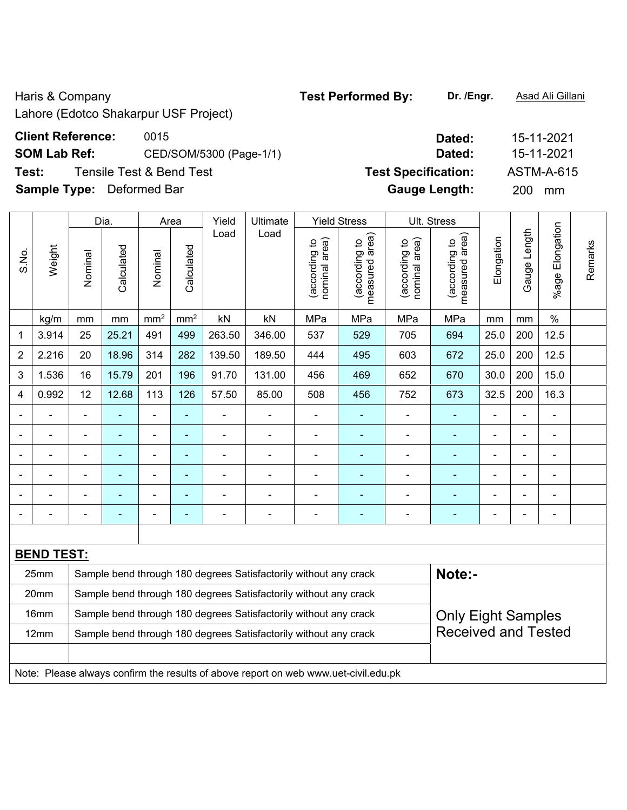Lahore (Edotco Shakarpur USF Project)

## **Client Reference: 0015**

**SOM Lab Ref:** CED/SOM/5300 (Page-1/1)

**Test:** Tensile Test & Bend Test **Specifically** To **Sample Type:** Deformed Bar

|                |                   |                                                                                               | Dia.       |                 | Area            | Yield          | Ultimate                                                                            |                                | <b>Yield Stress</b>             |                                | Ult. Stress                     |                |                |                 |         |
|----------------|-------------------|-----------------------------------------------------------------------------------------------|------------|-----------------|-----------------|----------------|-------------------------------------------------------------------------------------|--------------------------------|---------------------------------|--------------------------------|---------------------------------|----------------|----------------|-----------------|---------|
| S.No.          | Weight            | Nominal                                                                                       | Calculated | Nominal         | Calculated      | Load           | Load                                                                                | nominal area)<br>(according to | measured area)<br>(according to | (according to<br>nominal area) | measured area)<br>(according to | Elongation     | Gauge Length   | %age Elongation | Remarks |
|                | kg/m              | mm                                                                                            | mm         | mm <sup>2</sup> | mm <sup>2</sup> | kN             | kN                                                                                  | MPa                            | MPa                             | MPa                            | MPa                             | mm             | mm             | $\%$            |         |
| 1              | 3.914             | 25                                                                                            | 25.21      | 491             | 499             | 263.50         | 346.00                                                                              | 537                            | 529                             | 705                            | 694                             | 25.0           | 200            | 12.5            |         |
| $\overline{2}$ | 2.216             | 20                                                                                            | 18.96      | 314             | 282             | 139.50         | 189.50                                                                              | 444                            | 495                             | 603                            | 672                             | 25.0           | 200            | 12.5            |         |
| 3              | 1.536             | 16                                                                                            | 15.79      | 201             | 196             | 91.70          | 131.00                                                                              | 456                            | 469                             | 652                            | 670                             | 30.0           | 200            | 15.0            |         |
| 4              | 0.992             | 12                                                                                            | 12.68      | 113             | 126             | 57.50          | 85.00                                                                               | 508                            | 456                             | 752                            | 673                             | 32.5           | 200            | 16.3            |         |
| ۰              |                   | $\blacksquare$                                                                                |            | ÷               | $\blacksquare$  |                | $\overline{\phantom{0}}$                                                            | $\overline{\phantom{0}}$       |                                 |                                |                                 | $\blacksquare$ |                | $\blacksquare$  |         |
|                |                   | ä,                                                                                            | L.         | $\blacksquare$  | $\blacksquare$  | $\blacksquare$ | $\blacksquare$                                                                      | $\blacksquare$                 | ÷                               | $\blacksquare$                 | ÷                               | $\blacksquare$ |                | $\blacksquare$  |         |
| ۰              |                   | ÷                                                                                             | ä,         | ÷               | $\blacksquare$  | ÷              | $\blacksquare$                                                                      | $\blacksquare$                 | $\blacksquare$                  | $\blacksquare$                 | ÷,                              | $\blacksquare$ | $\blacksquare$ | $\blacksquare$  |         |
|                |                   | ٠                                                                                             | ÷,         | $\blacksquare$  | $\blacksquare$  |                | $\overline{\phantom{0}}$                                                            | $\blacksquare$                 | $\blacksquare$                  |                                | Ē.                              |                | $\blacksquare$ | $\blacksquare$  |         |
|                |                   |                                                                                               |            | ÷               | ۳               |                | $\blacksquare$                                                                      | $\overline{\phantom{a}}$       |                                 |                                | Ē.                              |                |                | $\blacksquare$  |         |
|                |                   |                                                                                               |            | $\blacksquare$  | ۰               |                |                                                                                     |                                |                                 |                                |                                 |                |                | $\blacksquare$  |         |
|                |                   |                                                                                               |            |                 |                 |                |                                                                                     |                                |                                 |                                |                                 |                |                |                 |         |
|                | <b>BEND TEST:</b> |                                                                                               |            |                 |                 |                |                                                                                     |                                |                                 |                                |                                 |                |                |                 |         |
|                | 25mm              |                                                                                               |            |                 |                 |                | Sample bend through 180 degrees Satisfactorily without any crack                    |                                |                                 |                                | Note:-                          |                |                |                 |         |
|                | 20mm              |                                                                                               |            |                 |                 |                | Sample bend through 180 degrees Satisfactorily without any crack                    |                                |                                 |                                |                                 |                |                |                 |         |
|                | 16mm              | Sample bend through 180 degrees Satisfactorily without any crack<br><b>Only Eight Samples</b> |            |                 |                 |                |                                                                                     |                                |                                 |                                |                                 |                |                |                 |         |
|                | 12mm              |                                                                                               |            |                 |                 |                | Sample bend through 180 degrees Satisfactorily without any crack                    |                                |                                 |                                | <b>Received and Tested</b>      |                |                |                 |         |
|                |                   |                                                                                               |            |                 |                 |                |                                                                                     |                                |                                 |                                |                                 |                |                |                 |         |
|                |                   |                                                                                               |            |                 |                 |                | Note: Please always confirm the results of above report on web www.uet-civil.edu.pk |                                |                                 |                                |                                 |                |                |                 |         |

| Dated:               | 15-11-2021        |
|----------------------|-------------------|
|                      |                   |
| Dated:               | 15-11-2021        |
| est Specification:   | <b>ASTM-A-615</b> |
| <b>Gauge Length:</b> | 200<br>mm         |

Haris & Company **Test Performed By:** Dr. /Engr. **Asad Ali Gillani** Associated By: Dr. /Engr. **Asad Ali Gillani** 

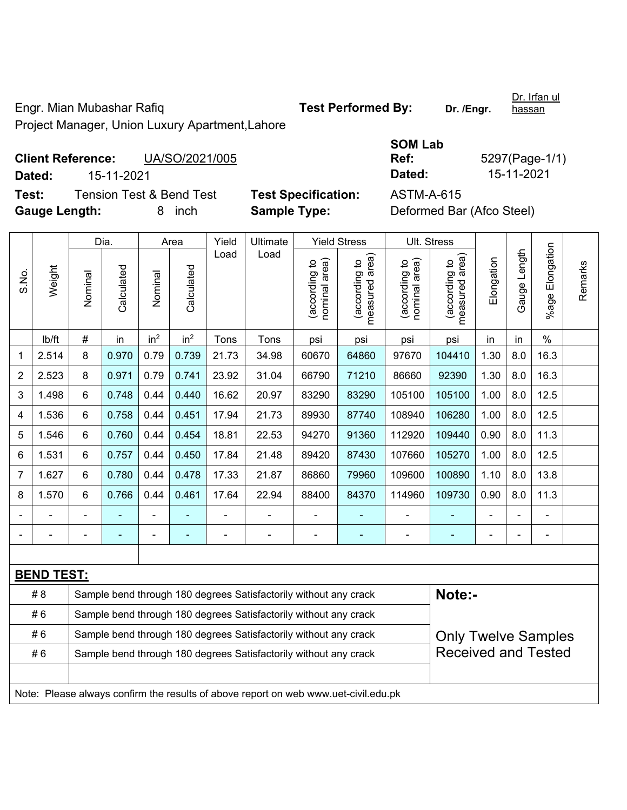Engr. Mian Mubashar Rafiq **Test Performed By: Dr. /Engr.**  Project Manager, Union Luxury Apartment,Lahore

**Client Reference:** UA/SO/2021/005

**Gauge Length:** 8 inch **Sample Type:** Deformed Bar (Afco Steel)

S<sup>(</sup><br>R

|               |            | 0.99912921000                       |                            | .          | $0 - 0$ , $1 - 0.90$      |
|---------------|------------|-------------------------------------|----------------------------|------------|---------------------------|
| Dated:        | 15-11-2021 |                                     |                            | Dated:     | 15-11-2021                |
| Test:         |            | <b>Tension Test &amp; Bend Test</b> | <b>Test Specification:</b> | ASTM-A-615 |                           |
| Gauge Length: |            | 8. inch                             | <b>Sample Type:</b>        |            | Deformed Bar (Afco Steel) |

|                |                   |                                                                                                | Dia.       |                 | Area            | Yield | Ultimate                                                                            |                                | <b>Yield Stress</b>                         |                                | Ult. Stress                     |                |              |                       |         |
|----------------|-------------------|------------------------------------------------------------------------------------------------|------------|-----------------|-----------------|-------|-------------------------------------------------------------------------------------|--------------------------------|---------------------------------------------|--------------------------------|---------------------------------|----------------|--------------|-----------------------|---------|
| S.No.          | Weight            | Nominal                                                                                        | Calculated | Nominal         | Calculated      | Load  | Load                                                                                | nominal area)<br>(according to | (according to<br>neasured area)<br>measured | (according to<br>nominal area) | (according to<br>measured area) | Elongation     | Gauge Length | Elongation<br>$%$ age | Remarks |
|                | lb/ft             | #                                                                                              | in         | in <sup>2</sup> | in <sup>2</sup> | Tons  | Tons                                                                                | psi                            | psi                                         | psi                            | psi                             | in             | in           | $\%$                  |         |
| 1              | 2.514             | 8                                                                                              | 0.970      | 0.79            | 0.739           | 21.73 | 34.98                                                                               | 60670                          | 64860                                       | 97670                          | 104410                          | 1.30           | 8.0          | 16.3                  |         |
| $\overline{2}$ | 2.523             | 8                                                                                              | 0.971      | 0.79            | 0.741           | 23.92 | 31.04                                                                               | 66790                          | 71210                                       | 86660                          | 92390                           | 1.30           | 8.0          | 16.3                  |         |
| 3              | 1.498             | 6                                                                                              | 0.748      | 0.44            | 0.440           | 16.62 | 20.97                                                                               | 83290                          | 83290                                       | 105100                         | 105100                          | 1.00           | 8.0          | 12.5                  |         |
| 4              | 1.536             | 6                                                                                              | 0.758      | 0.44            | 0.451           | 17.94 | 21.73                                                                               | 89930                          | 87740                                       | 108940                         | 106280                          | 1.00           | 8.0          | 12.5                  |         |
| 5              | 1.546             | 6                                                                                              | 0.760      | 0.44            | 0.454           | 18.81 | 22.53                                                                               | 94270                          | 91360                                       | 112920                         | 109440                          | 0.90           | 8.0          | 11.3                  |         |
| 6              | 1.531             | 6                                                                                              | 0.757      | 0.44            | 0.450           | 17.84 | 21.48                                                                               | 89420                          | 87430                                       | 107660                         | 105270                          | 1.00           | 8.0          | 12.5                  |         |
| $\overline{7}$ | 1.627             | 6                                                                                              | 0.780      | 0.44            | 0.478           | 17.33 | 21.87                                                                               | 86860                          | 79960                                       | 109600                         | 100890                          | 1.10           | 8.0          | 13.8                  |         |
| 8              | 1.570             | 6                                                                                              | 0.766      | 0.44            | 0.461           | 17.64 | 22.94                                                                               | 88400                          | 84370                                       | 114960                         | 109730                          | 0.90           | 8.0          | 11.3                  |         |
|                |                   |                                                                                                |            |                 |                 |       |                                                                                     | $\blacksquare$                 |                                             |                                |                                 |                |              |                       |         |
|                |                   |                                                                                                |            | $\blacksquare$  | ٠               |       | $\blacksquare$                                                                      | $\blacksquare$                 | $\blacksquare$                              | $\blacksquare$                 | $\blacksquare$                  | $\blacksquare$ |              | $\blacksquare$        |         |
|                |                   |                                                                                                |            |                 |                 |       |                                                                                     |                                |                                             |                                |                                 |                |              |                       |         |
|                | <b>BEND TEST:</b> |                                                                                                |            |                 |                 |       |                                                                                     |                                |                                             |                                |                                 |                |              |                       |         |
|                | #8                |                                                                                                |            |                 |                 |       | Sample bend through 180 degrees Satisfactorily without any crack                    |                                |                                             |                                | Note:-                          |                |              |                       |         |
|                | #6                | Sample bend through 180 degrees Satisfactorily without any crack                               |            |                 |                 |       |                                                                                     |                                |                                             |                                |                                 |                |              |                       |         |
|                | #6                | Sample bend through 180 degrees Satisfactorily without any crack<br><b>Only Twelve Samples</b> |            |                 |                 |       |                                                                                     |                                |                                             |                                |                                 |                |              |                       |         |
|                | #6                |                                                                                                |            |                 |                 |       | Sample bend through 180 degrees Satisfactorily without any crack                    |                                |                                             |                                | <b>Received and Tested</b>      |                |              |                       |         |
|                |                   |                                                                                                |            |                 |                 |       |                                                                                     |                                |                                             |                                |                                 |                |              |                       |         |
|                |                   |                                                                                                |            |                 |                 |       | Note: Please always confirm the results of above report on web www.uet-civil.edu.pk |                                |                                             |                                |                                 |                |              |                       |         |

| ;OM Lab |                |
|---------|----------------|
| lef:    | 5297(Page-1/1) |
| )ated:  | 15-11-2021     |
|         |                |

hassan

Dr. Irfan ul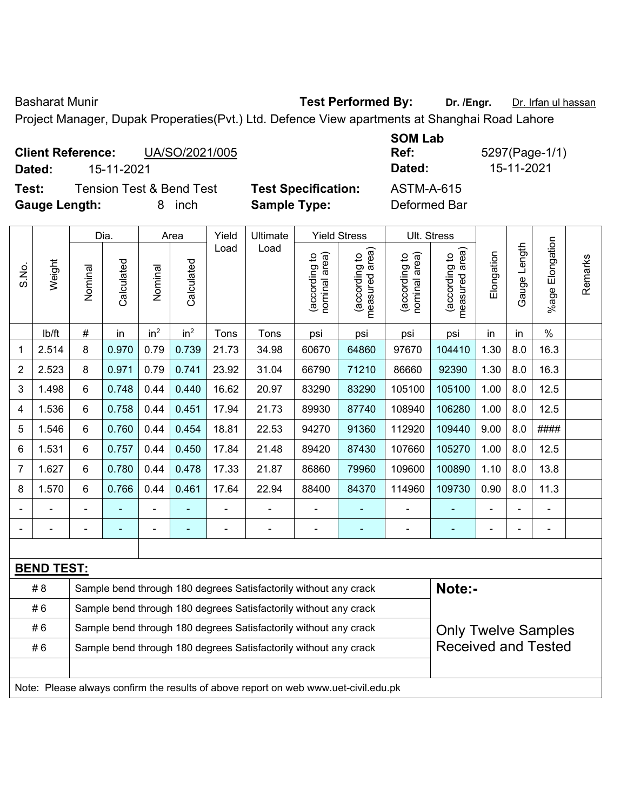Basharat Munir **Test Performed By:** Dr. /Engr. Dr. Irfan ul hassan

Project Manager, Dupak Properaties(Pvt.) Ltd. Defence View apartments at Shanghai Road Lahore

|        | <b>Client Reference:</b> | UA/SO/2021/005                      |                |
|--------|--------------------------|-------------------------------------|----------------|
| Dated: | 15-11-2021               |                                     |                |
| Test:  |                          | <b>Tension Test &amp; Bend Test</b> | <b>Test Sp</b> |

**Ref:** 5297(Page-1/1) **Dated:** 15-11-2021 **Dated:** 15-11-2021

**Gauge Length:** 8 inch **Sample Type:** Deformed Bar

| ∣est | ı es |
|------|------|
|      | Sar  |

**Tecification:** ASTM-A-615

|                |                   |                                                                                                | Dia.       |                 | Area            | Yield | Ultimate                                                                            |                                | <b>Yield Stress</b>             |                                | Ult. Stress                     |            |              |                       |         |  |
|----------------|-------------------|------------------------------------------------------------------------------------------------|------------|-----------------|-----------------|-------|-------------------------------------------------------------------------------------|--------------------------------|---------------------------------|--------------------------------|---------------------------------|------------|--------------|-----------------------|---------|--|
| S.No.          | Weight            | Nominal                                                                                        | Calculated | Nominal         | Calculated      | Load  | Load                                                                                | nominal area)<br>(according to | (according to<br>measured area) | (according to<br>nominal area) | (according to<br>measured area) | Elongation | Gauge Length | Elongation<br>$%$ age | Remarks |  |
|                | lb/ft             | $\#$                                                                                           | in         | in <sup>2</sup> | in <sup>2</sup> | Tons  | Tons                                                                                | psi                            | psi                             | psi                            | psi                             | in         | in           | $\frac{0}{0}$         |         |  |
| 1              | 2.514             | 8                                                                                              | 0.970      | 0.79            | 0.739           | 21.73 | 34.98                                                                               | 60670                          | 64860                           | 97670                          | 104410                          | 1.30       | 8.0          | 16.3                  |         |  |
| $\overline{2}$ | 2.523             | 8                                                                                              | 0.971      | 0.79            | 0.741           | 23.92 | 31.04                                                                               | 66790                          | 71210                           | 86660                          | 92390                           | 1.30       | 8.0          | 16.3                  |         |  |
| 3              | 1.498             | 6                                                                                              | 0.748      | 0.44            | 0.440           | 16.62 | 20.97                                                                               | 83290                          | 83290                           | 105100                         | 105100                          | 1.00       | 8.0          | 12.5                  |         |  |
| 4              | 1.536             | 6                                                                                              | 0.758      | 0.44            | 0.451           | 17.94 | 21.73                                                                               | 89930                          | 87740                           | 108940                         | 106280                          | 1.00       | 8.0          | 12.5                  |         |  |
| 5              | 1.546             | 6                                                                                              | 0.760      | 0.44            | 0.454           | 18.81 | 22.53                                                                               | 94270                          | 91360                           | 112920                         | 109440                          | 9.00       | 8.0          | ####                  |         |  |
| 6              | 1.531             | 6                                                                                              | 0.757      | 0.44            | 0.450           | 17.84 | 21.48                                                                               | 89420                          | 87430                           | 107660                         | 105270                          | 1.00       | 8.0          | 12.5                  |         |  |
| 7              | 1.627             | 6                                                                                              | 0.780      | 0.44            | 0.478           | 17.33 | 21.87                                                                               | 86860                          | 79960                           | 109600                         | 100890                          | 1.10       | 8.0          | 13.8                  |         |  |
| 8              | 1.570             | 6                                                                                              | 0.766      | 0.44            | 0.461           | 17.64 | 22.94                                                                               | 88400                          | 84370                           | 114960                         | 109730                          | 0.90       | 8.0          | 11.3                  |         |  |
|                |                   |                                                                                                |            |                 |                 |       |                                                                                     |                                |                                 |                                | ÷,                              |            |              |                       |         |  |
|                |                   |                                                                                                |            |                 |                 |       | $\blacksquare$                                                                      |                                |                                 | ٠                              |                                 |            |              |                       |         |  |
|                |                   |                                                                                                |            |                 |                 |       |                                                                                     |                                |                                 |                                |                                 |            |              |                       |         |  |
|                | <b>BEND TEST:</b> |                                                                                                |            |                 |                 |       |                                                                                     |                                |                                 |                                |                                 |            |              |                       |         |  |
|                | # 8               |                                                                                                |            |                 |                 |       | Sample bend through 180 degrees Satisfactorily without any crack                    |                                |                                 |                                | Note:-                          |            |              |                       |         |  |
|                | #6                |                                                                                                |            |                 |                 |       | Sample bend through 180 degrees Satisfactorily without any crack                    |                                |                                 |                                |                                 |            |              |                       |         |  |
|                | #6                | Sample bend through 180 degrees Satisfactorily without any crack<br><b>Only Twelve Samples</b> |            |                 |                 |       |                                                                                     |                                |                                 |                                |                                 |            |              |                       |         |  |
|                | #6                |                                                                                                |            |                 |                 |       | Sample bend through 180 degrees Satisfactorily without any crack                    |                                |                                 |                                | <b>Received and Tested</b>      |            |              |                       |         |  |
|                |                   |                                                                                                |            |                 |                 |       |                                                                                     |                                |                                 |                                |                                 |            |              |                       |         |  |
|                |                   |                                                                                                |            |                 |                 |       | Note: Please always confirm the results of above report on web www.uet-civil.edu.pk |                                |                                 |                                |                                 |            |              |                       |         |  |

**SOM Lab**